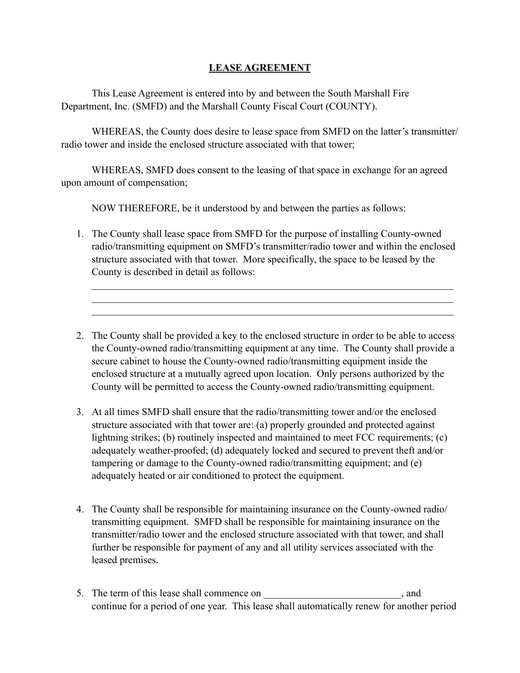## **LEASE AGREEMENT**

 This Lease Agreement is entered into by and between the South Marshall Fire Department, Inc. (SMFD) and the Marshall County Fiscal Court (COUNTY).

 WHEREAS, the County does desire to lease space from SMFD on the latter's transmitter/ radio tower and inside the enclosed structure associated with that tower;

 WHEREAS, SMFD does consent to the leasing of that space in exchange for an agreed upon amount of compensation;

NOW THEREFORE, be it understood by and between the parties as follows:

1. The County shall lease space from SMFD for the purpose of installing County-owned radio/transmitting equipment on SMFD's transmitter/radio tower and within the enclosed structure associated with that tower. More specifically, the space to be leased by the County is described in detail as follows:

 $\mathcal{L}_\text{max} = \mathcal{L}_\text{max} = \mathcal{L}_\text{max} = \mathcal{L}_\text{max} = \mathcal{L}_\text{max} = \mathcal{L}_\text{max} = \mathcal{L}_\text{max} = \mathcal{L}_\text{max} = \mathcal{L}_\text{max} = \mathcal{L}_\text{max} = \mathcal{L}_\text{max} = \mathcal{L}_\text{max} = \mathcal{L}_\text{max} = \mathcal{L}_\text{max} = \mathcal{L}_\text{max} = \mathcal{L}_\text{max} = \mathcal{L}_\text{max} = \mathcal{L}_\text{max} = \mathcal{$  $\mathcal{L}_\text{max} = \mathcal{L}_\text{max} = \mathcal{L}_\text{max} = \mathcal{L}_\text{max} = \mathcal{L}_\text{max} = \mathcal{L}_\text{max} = \mathcal{L}_\text{max} = \mathcal{L}_\text{max} = \mathcal{L}_\text{max} = \mathcal{L}_\text{max} = \mathcal{L}_\text{max} = \mathcal{L}_\text{max} = \mathcal{L}_\text{max} = \mathcal{L}_\text{max} = \mathcal{L}_\text{max} = \mathcal{L}_\text{max} = \mathcal{L}_\text{max} = \mathcal{L}_\text{max} = \mathcal{$  $\mathcal{L}_\text{max} = \mathcal{L}_\text{max} = \mathcal{L}_\text{max} = \mathcal{L}_\text{max} = \mathcal{L}_\text{max} = \mathcal{L}_\text{max} = \mathcal{L}_\text{max} = \mathcal{L}_\text{max} = \mathcal{L}_\text{max} = \mathcal{L}_\text{max} = \mathcal{L}_\text{max} = \mathcal{L}_\text{max} = \mathcal{L}_\text{max} = \mathcal{L}_\text{max} = \mathcal{L}_\text{max} = \mathcal{L}_\text{max} = \mathcal{L}_\text{max} = \mathcal{L}_\text{max} = \mathcal{$ 

- 2. The County shall be provided a key to the enclosed structure in order to be able to access the County-owned radio/transmitting equipment at any time. The County shall provide a secure cabinet to house the County-owned radio/transmitting equipment inside the enclosed structure at a mutually agreed upon location. Only persons authorized by the County will be permitted to access the County-owned radio/transmitting equipment.
- 3. At all times SMFD shall ensure that the radio/transmitting tower and/or the enclosed structure associated with that tower are: (a) properly grounded and protected against lightning strikes; (b) routinely inspected and maintained to meet FCC requirements; (c) adequately weather-proofed; (d) adequately locked and secured to prevent theft and/or tampering or damage to the County-owned radio/transmitting equipment; and (e) adequately heated or air conditioned to protect the equipment.
- 4. The County shall be responsible for maintaining insurance on the County-owned radio/ transmitting equipment. SMFD shall be responsible for maintaining insurance on the transmitter/radio tower and the enclosed structure associated with that tower, and shall further be responsible for payment of any and all utility services associated with the leased premises.
- 5. The term of this lease shall commence on \_\_\_\_\_\_\_\_\_\_\_\_\_\_\_\_\_\_\_\_\_\_, and continue for a period of one year. This lease shall automatically renew for another period